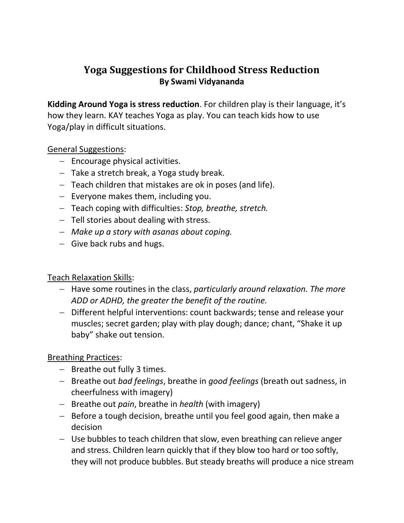# **Yoga Suggestions for Childhood Stress Reduction By Swami Vidyananda**

**Kidding Around Yoga is stress reduction**. For children play is their language, it's how they learn. KAY teaches Yoga as play. You can teach kids how to use Yoga/play in difficult situations.

### General Suggestions:

- $-$  Encourage physical activities.
- $-$  Take a stretch break, a Yoga study break.
- Teach children that mistakes are ok in poses (and life).
- $-$  Everyone makes them, including you.
- Teach coping with difficulties: *Stop, breathe, stretch.*
- $-$  Tell stories about dealing with stress.
- *Make up a story with asanas about coping.*
- $-$  Give back rubs and hugs.

#### Teach Relaxation Skills:

- Have some routines in the class, *particularly around relaxation. The more ADD or ADHD, the greater the benefit of the routine.*
- Different helpful interventions: count backwards; tense and release your muscles; secret garden; play with play dough; dance; chant, "Shake it up baby" shake out tension.

## Breathing Practices:

- $-$  Breathe out fully 3 times.
- Breathe out *bad feelings*, breathe in *good feelings* (breath out sadness, in cheerfulness with imagery)
- $-$  Breathe out *pain*, breathe in *health* (with imagery)
- Before a tough decision, breathe until you feel good again, then make a decision
- Use bubbles to teach children that slow, even breathing can relieve anger and stress. Children learn quickly that if they blow too hard or too softly, they will not produce bubbles. But steady breaths will produce a nice stream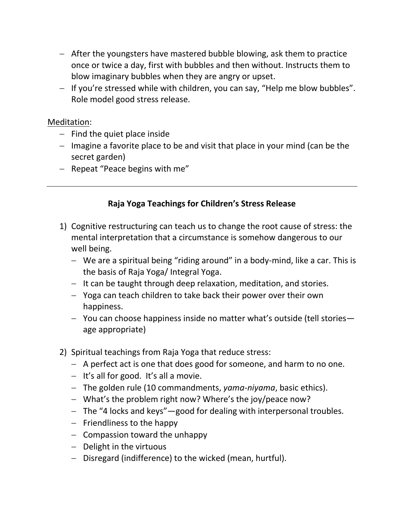- After the youngsters have mastered bubble blowing, ask them to practice once or twice a day, first with bubbles and then without. Instructs them to blow imaginary bubbles when they are angry or upset.
- $-$  If you're stressed while with children, you can say, "Help me blow bubbles". Role model good stress release.

#### Meditation:

- $-$  Find the quiet place inside
- $-$  Imagine a favorite place to be and visit that place in your mind (can be the secret garden)
- $-$  Repeat "Peace begins with me"

## **Raja Yoga Teachings for Children's Stress Release**

- 1) Cognitive restructuring can teach us to change the root cause of stress: the mental interpretation that a circumstance is somehow dangerous to our well being.
	- We are a spiritual being "riding around" in a body-mind, like a car. This is the basis of Raja Yoga/ Integral Yoga.
	- $-$  It can be taught through deep relaxation, meditation, and stories.
	- Yoga can teach children to take back their power over their own happiness.
	- You can choose happiness inside no matter what's outside (tell stories age appropriate)
- 2) Spiritual teachings from Raja Yoga that reduce stress:
	- A perfect act is one that does good for someone, and harm to no one.
	- $-$  It's all for good. It's all a movie.
	- The golden rule (10 commandments, *yama-niyama*, basic ethics).
	- What's the problem right now? Where's the joy/peace now?
	- The "4 locks and keys" good for dealing with interpersonal troubles.
	- $-$  Friendliness to the happy
	- $-$  Compassion toward the unhappy
	- $-$  Delight in the virtuous
	- Disregard (indifference) to the wicked (mean, hurtful).